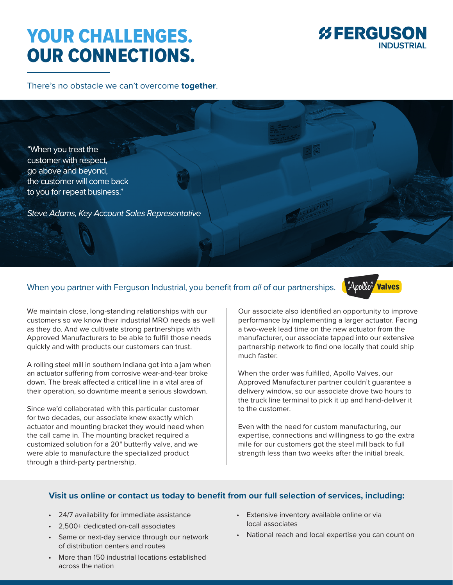## YOUR CHALLENGES. OUR CONNECTIONS.



There's no obstacle we can't overcome **together**.

"When you treat the customer with respect, go above and beyond, the customer will come back to you for repeat business."

Steve Adams, Key Account Sales Representative

## When you partner with Ferguson Industrial, you benefit from all of our partnerships.



We maintain close, long-standing relationships with our customers so we know their industrial MRO needs as well as they do. And we cultivate strong partnerships with Approved Manufacturers to be able to fulfill those needs quickly and with products our customers can trust.

A rolling steel mill in southern Indiana got into a jam when an actuator suffering from corrosive wear-and-tear broke down. The break affected a critical line in a vital area of their operation, so downtime meant a serious slowdown.

Since we'd collaborated with this particular customer for two decades, our associate knew exactly which actuator and mounting bracket they would need when the call came in. The mounting bracket required a customized solution for a 20" butterfly valve, and we were able to manufacture the specialized product through a third-party partnership.

Our associate also identified an opportunity to improve performance by implementing a larger actuator. Facing a two-week lead time on the new actuator from the manufacturer, our associate tapped into our extensive partnership network to find one locally that could ship much faster.

When the order was fulfilled, Apollo Valves, our Approved Manufacturer partner couldn't guarantee a delivery window, so our associate drove two hours to the truck line terminal to pick it up and hand-deliver it to the customer.

Even with the need for custom manufacturing, our expertise, connections and willingness to go the extra mile for our customers got the steel mill back to full strength less than two weeks after the initial break.

## **Visit us online or contact us today to benefit from our full selection of services, including:**

- 24/7 availability for immediate assistance
- 2,500+ dedicated on-call associates
- Same or next-day service through our network of distribution centers and routes
- Extensive inventory available online or via local associates
- National reach and local expertise you can count on
- More than 150 industrial locations established across the nation